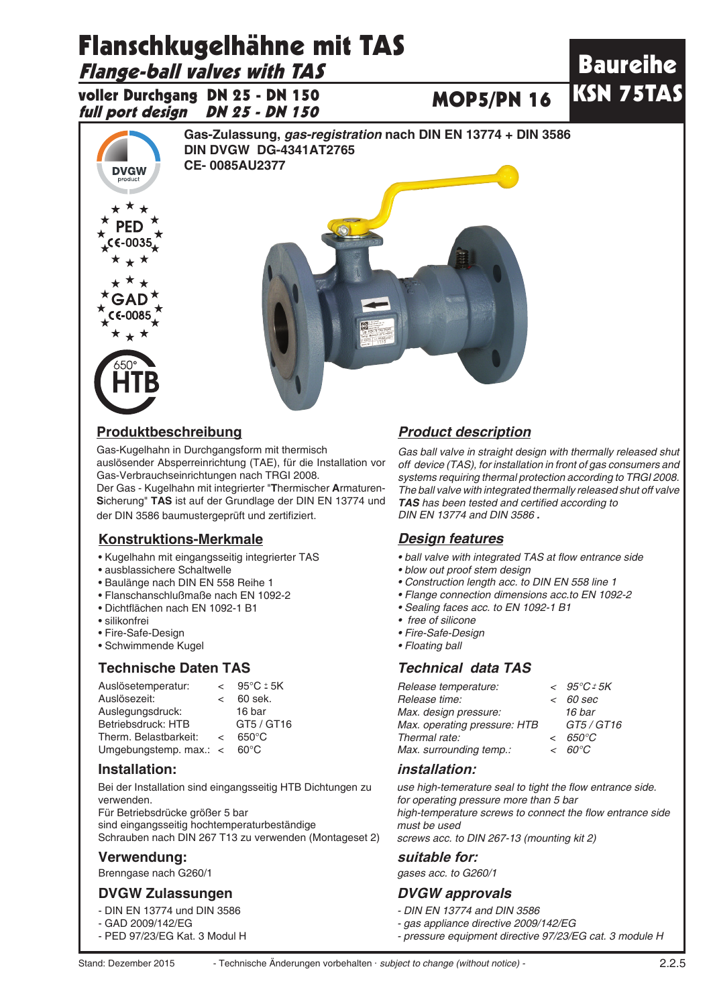# Flanschkugelhähne mit TAS

# Flange-ball valves with TAS

voller Durchgang DN 25 - DN 150 full port design DN 25 - DN 150



## **Produktbeschreibung** *Product description*

Gas-Kugelhahn in Durchgangsform mit thermisch auslösender Absperreinrichtung (TAE), für die Installation vor Gas-Verbrauchseinrichtungen nach TRGI 2008. Der Gas - Kugelhahn mit integrierter "**T**hermischer **A**rmaturen-

**S**icherung" **TAS** ist auf der Grundlage der DIN EN 13774 und der DIN 3586 baumustergeprüft und zertifiziert.

### **Konstruktions-Merkmale**

- Kugelhahn mit eingangsseitig integrierter TAS
- ausblassichere Schaltwelle
- Baulänge nach DIN EN 558 Reihe 1
- Flanschanschlußmaße nach EN 1092-2
- Dichtflächen nach EN 1092-1 B1
- silikonfrei
- Fire-Safe-Design
- Schwimmende Kugel

### **Technische Daten TAS** *Technical data TAS*

| Auslösetemperatur:       | $\epsilon$ | $95^{\circ}$ C ± 5K |
|--------------------------|------------|---------------------|
| Auslösezeit:             | $\epsilon$ | 60 sek.             |
| Auslegungsdruck:         |            | 16 bar              |
| Betriebsdruck: HTB       |            | GT5 / GT16          |
| Therm. Belastbarkeit:    | $\epsilon$ | $650^{\circ}$ C     |
| Umgebungstemp. $max.: <$ |            | $60^{\circ}$ C      |

### **Installation:**

Bei der Installation sind eingangsseitig HTB Dichtungen zu verwenden. Für Betriebsdrücke größer 5 bar sind eingangsseitig hochtemperaturbeständige Schrauben nach DIN 267 T13 zu verwenden (Montageset 2)

### **Verwendung:**

Brenngase nach G260/1

### **DVGW Zulassungen** *DVGW approvals*

- DIN EN 13774 und DIN 3586
- GAD 2009/142/EG
- PED 97/23/EG Kat. 3 Modul H

MOP5/PN 16

*Gas ball valve in straight design with thermally released shut off device (TAS), for installation in front of gas consumers and systems requiring thermal protection according to TRGI 2008. The ball valve with integrated thermally released shut off valve TAS has been tested and certified according to DIN EN 13774 and DIN 3586 .*

Baureihe

KSN 75TAS

### *Design features*

- ball valve with integrated TAS at flow entrance side
- *blow out proof stem design*
- *Construction length acc. to DIN EN 558 line 1*
- *Flange connection dimensions acc.to EN 1092-2*
- *Sealing faces acc. to EN 1092-1 B1*
- *free of silicone*
- *Fire-Safe-Design*
- *Floating ball*

| Release temperature:         |            | $< 95^{\circ}$ C = 5K |
|------------------------------|------------|-----------------------|
| Release time:                |            | $< 60$ sec            |
| Max. design pressure:        |            | 16 bar                |
| Max. operating pressure: HTB |            | GT5/GT16              |
| Thermal rate:                | $\epsilon$ | 650°C                 |
| Max. surrounding temp.:      |            | $< 60^{\circ}$ C      |
|                              |            |                       |

### **installation:**

*use high-temerature seal to tight the flow entrance side. for operating pressure more than 5 bar* high-temperature screws to connect the flow entrance side *must be used screws acc. to DIN 267-13 (mounting kit 2)*

### **suitable for:**

*gases acc. to G260/1*

- *DIN EN 13774 and DIN 3586*
- *gas appliance directive 2009/142/EG*
- *pressure equipment directive 97/23/EG cat. 3 module H*